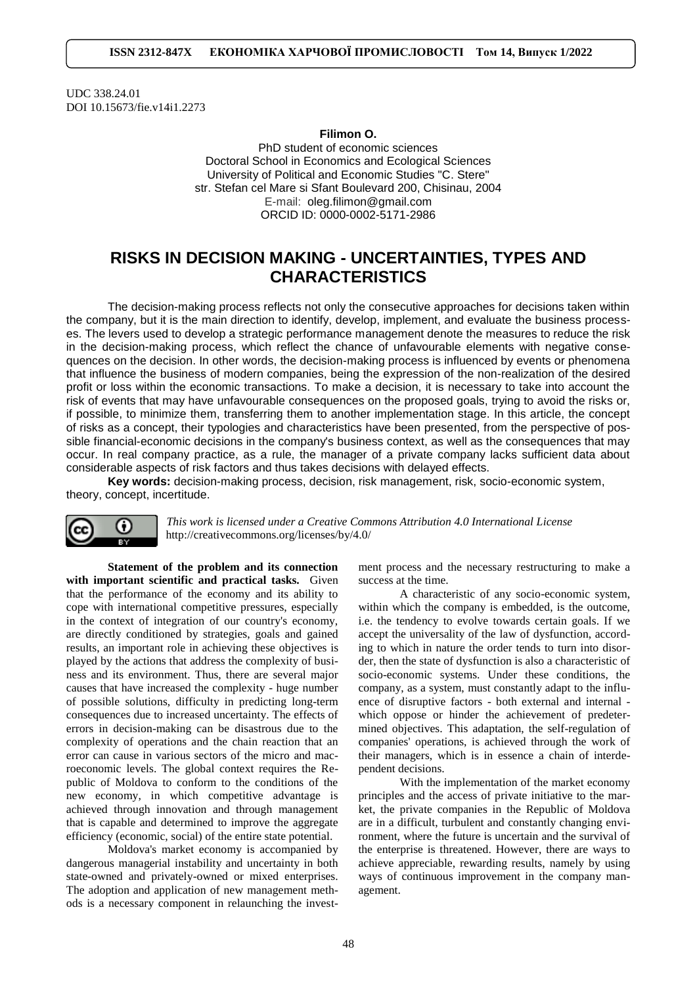UDC 338.24.01 DOI [10.15673/fie.v14i1.2273](https://doi.org/10.15673/fie.v14i1.2273)

## **Filimon O.**

PhD student of economic sciences Doctoral School in Economics and Ecological Sciences University of Political and Economic Studies "C. Stere" str. Stefan cel Mare si Sfant Boulevard 200, Chisinau, 2004 E-mail: [oleg.filimon@gmail.com](mailto:oleg.filimon@gmail.com) ORCID ID: 0000-0002-5171-2986

# **RISKS IN DECISION MAKING - UNCERTAINTIES, TYPES AND CHARACTERISTICS**

The decision-making process reflects not only the consecutive approaches for decisions taken within the company, but it is the main direction to identify, develop, implement, and evaluate the business processes. The levers used to develop a strategic performance management denote the measures to reduce the risk in the decision-making process, which reflect the chance of unfavourable elements with negative consequences on the decision. In other words, the decision-making process is influenced by events or phenomena that influence the business of modern companies, being the expression of the non-realization of the desired profit or loss within the economic transactions. To make a decision, it is necessary to take into account the risk of events that may have unfavourable consequences on the proposed goals, trying to avoid the risks or, if possible, to minimize them, transferring them to another implementation stage. In this article, the concept of risks as a concept, their typologies and characteristics have been presented, from the perspective of possible financial-economic decisions in the company's business context, as well as the consequences that may occur. In real company practice, as a rule, the manager of a private company lacks sufficient data about considerable aspects of risk factors and thus takes decisions with delayed effects.

**Key words:** decision-making process, decision, risk management, risk, socio-economic system, theory, concept, incertitude.



*This work is licensed under a [Creative Commons Attribution 4.0 International License](http://creativecommons.org/licenses/by/4.0/)* <http://creativecommons.org/licenses/by/4.0/>

**Statement of the problem and its connection with important scientific and practical tasks.** Given that the performance of the economy and its ability to cope with international competitive pressures, especially in the context of integration of our country's economy, are directly conditioned by strategies, goals and gained results, an important role in achieving these objectives is played by the actions that address the complexity of business and its environment. Thus, there are several major causes that have increased the complexity - huge number of possible solutions, difficulty in predicting long-term consequences due to increased uncertainty. The effects of errors in decision-making can be disastrous due to the complexity of operations and the chain reaction that an error can cause in various sectors of the micro and macroeconomic levels. The global context requires the Republic of Moldova to conform to the conditions of the new economy, in which competitive advantage is achieved through innovation and through management that is capable and determined to improve the aggregate efficiency (economic, social) of the entire state potential.

Moldova's market economy is accompanied by dangerous managerial instability and uncertainty in both state-owned and privately-owned or mixed enterprises. The adoption and application of new management methods is a necessary component in relaunching the investment process and the necessary restructuring to make a success at the time.

A characteristic of any socio-economic system, within which the company is embedded, is the outcome, i.e. the tendency to evolve towards certain goals. If we accept the universality of the law of dysfunction, according to which in nature the order tends to turn into disorder, then the state of dysfunction is also a characteristic of socio-economic systems. Under these conditions, the company, as a system, must constantly adapt to the influence of disruptive factors - both external and internal which oppose or hinder the achievement of predetermined objectives. This adaptation, the self-regulation of companies' operations, is achieved through the work of their managers, which is in essence a chain of interdependent decisions.

With the implementation of the market economy principles and the access of private initiative to the market, the private companies in the Republic of Moldova are in a difficult, turbulent and constantly changing environment, where the future is uncertain and the survival of the enterprise is threatened. However, there are ways to achieve appreciable, rewarding results, namely by using ways of continuous improvement in the company management.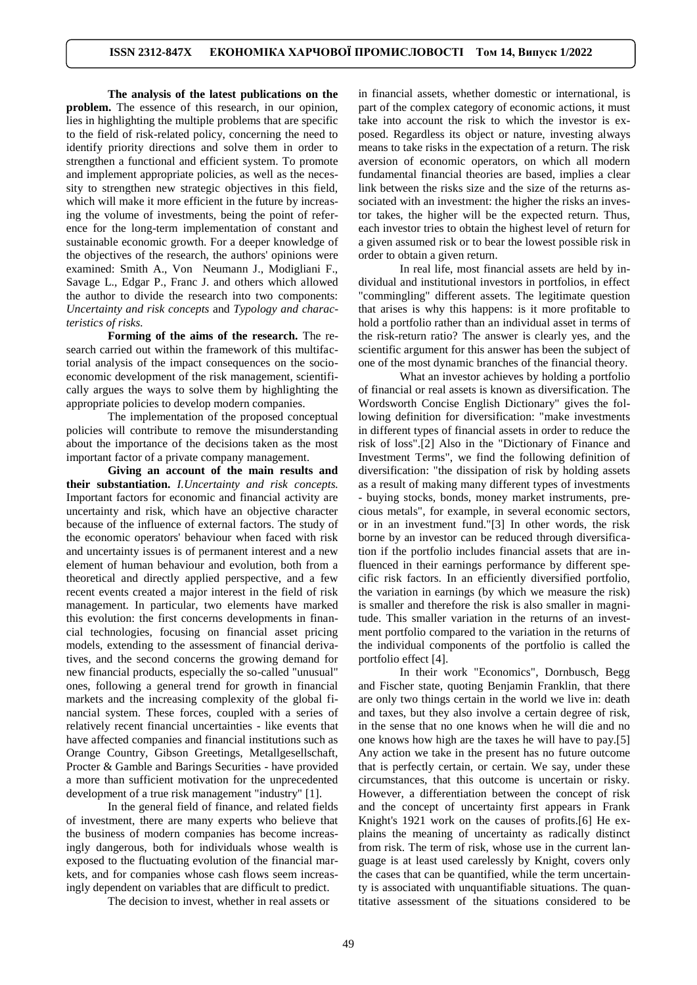**The analysis of the latest publications on the problem.** The essence of this research, in our opinion, lies in highlighting the multiple problems that are specific to the field of risk-related policy, concerning the need to identify priority directions and solve them in order to strengthen a functional and efficient system. To promote and implement appropriate policies, as well as the necessity to strengthen new strategic objectives in this field, which will make it more efficient in the future by increasing the volume of investments, being the point of reference for the long-term implementation of constant and sustainable economic growth. For a deeper knowledge of the objectives of the research, the authors' opinions were examined: Smith A., Von Neumann J., Modigliani F., Savage L., Edgar P., Franc J. and others which allowed the author to divide the research into two components: *Uncertainty and risk concepts* and *Typology and characteristics of risks.*

**Forming of the aims of the research.** The research carried out within the framework of this multifactorial analysis of the impact consequences on the socioeconomic development of the risk management, scientifically argues the ways to solve them by highlighting the appropriate policies to develop modern companies.

The implementation of the proposed conceptual policies will contribute to remove the misunderstanding about the importance of the decisions taken as the most important factor of a private company management.

**Giving an account of the main results and their substantiation.** *I.Uncertainty and risk concepts.* Important factors for economic and financial activity are uncertainty and risk, which have an objective character because of the influence of external factors. The study of the economic operators' behaviour when faced with risk and uncertainty issues is of permanent interest and a new element of human behaviour and evolution, both from a theoretical and directly applied perspective, and a few recent events created a major interest in the field of risk management. In particular, two elements have marked this evolution: the first concerns developments in financial technologies, focusing on financial asset pricing models, extending to the assessment of financial derivatives, and the second concerns the growing demand for new financial products, especially the so-called "unusual" ones, following a general trend for growth in financial markets and the increasing complexity of the global financial system. These forces, coupled with a series of relatively recent financial uncertainties - like events that have affected companies and financial institutions such as Orange Country, Gibson Greetings, Metallgesellschaft, Procter & Gamble and Barings Securities - have provided a more than sufficient motivation for the unprecedented development of a true risk management "industry" [1].

In the general field of finance, and related fields of investment, there are many experts who believe that the business of modern companies has become increasingly dangerous, both for individuals whose wealth is exposed to the fluctuating evolution of the financial markets, and for companies whose cash flows seem increasingly dependent on variables that are difficult to predict.

The decision to invest, whether in real assets or

in financial assets, whether domestic or international, is part of the complex category of economic actions, it must take into account the risk to which the investor is exposed. Regardless its object or nature, investing always means to take risks in the expectation of a return. The risk aversion of economic operators, on which all modern fundamental financial theories are based, implies a clear link between the risks size and the size of the returns associated with an investment: the higher the risks an investor takes, the higher will be the expected return. Thus, each investor tries to obtain the highest level of return for a given assumed risk or to bear the lowest possible risk in order to obtain a given return.

In real life, most financial assets are held by individual and institutional investors in portfolios, in effect "commingling" different assets. The legitimate question that arises is why this happens: is it more profitable to hold a portfolio rather than an individual asset in terms of the risk-return ratio? The answer is clearly yes, and the scientific argument for this answer has been the subject of one of the most dynamic branches of the financial theory.

What an investor achieves by holding a portfolio of financial or real assets is known as diversification. The Wordsworth Concise English Dictionary" gives the following definition for diversification: "make investments in different types of financial assets in order to reduce the risk of loss".[2] Also in the "Dictionary of Finance and Investment Terms", we find the following definition of diversification: "the dissipation of risk by holding assets as a result of making many different types of investments - buying stocks, bonds, money market instruments, precious metals", for example, in several economic sectors, or in an investment fund."[3] In other words, the risk borne by an investor can be reduced through diversification if the portfolio includes financial assets that are influenced in their earnings performance by different specific risk factors. In an efficiently diversified portfolio, the variation in earnings (by which we measure the risk) is smaller and therefore the risk is also smaller in magnitude. This smaller variation in the returns of an investment portfolio compared to the variation in the returns of the individual components of the portfolio is called the portfolio effect [4].

In their work "Economics", Dornbusch, Begg and Fischer state, quoting Benjamin Franklin, that there are only two things certain in the world we live in: death and taxes, but they also involve a certain degree of risk, in the sense that no one knows when he will die and no one knows how high are the taxes he will have to pay.[5] Any action we take in the present has no future outcome that is perfectly certain, or certain. We say, under these circumstances, that this outcome is uncertain or risky. However, a differentiation between the concept of risk and the concept of uncertainty first appears in Frank Knight's 1921 work on the causes of profits.[6] He explains the meaning of uncertainty as radically distinct from risk. The term of risk, whose use in the current language is at least used carelessly by Knight, covers only the cases that can be quantified, while the term uncertainty is associated with unquantifiable situations. The quantitative assessment of the situations considered to be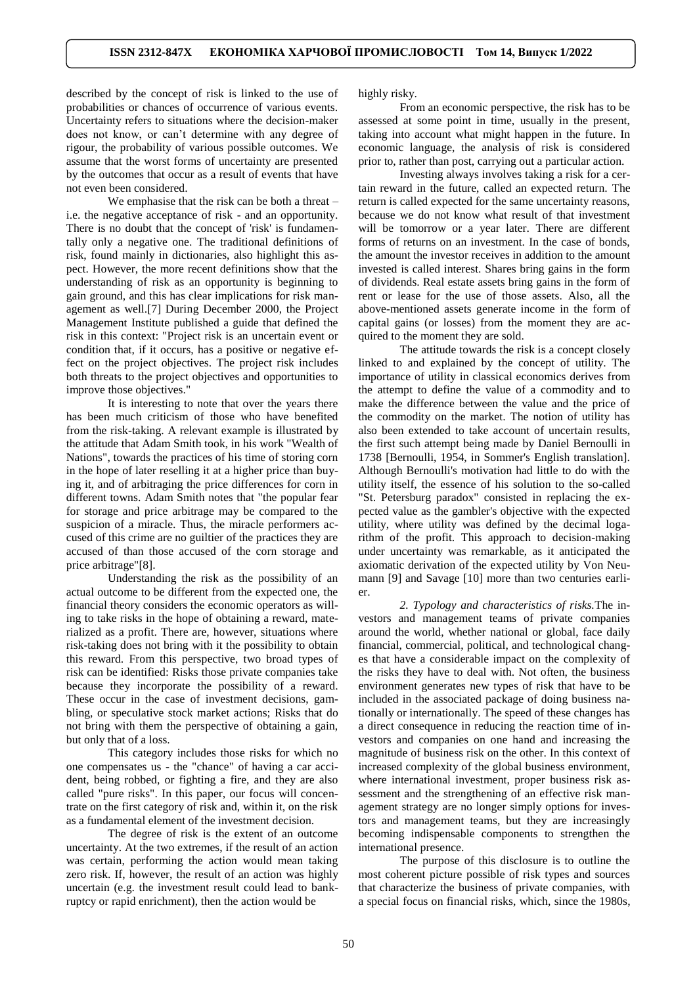described by the concept of risk is linked to the use of probabilities or chances of occurrence of various events. Uncertainty refers to situations where the decision-maker does not know, or can't determine with any degree of rigour, the probability of various possible outcomes. We assume that the worst forms of uncertainty are presented by the outcomes that occur as a result of events that have not even been considered.

We emphasise that the risk can be both a threat – i.e. the negative acceptance of risk - and an opportunity. There is no doubt that the concept of 'risk' is fundamentally only a negative one. The traditional definitions of risk, found mainly in dictionaries, also highlight this aspect. However, the more recent definitions show that the understanding of risk as an opportunity is beginning to gain ground, and this has clear implications for risk management as well.[7] During December 2000, the Project Management Institute published a guide that defined the risk in this context: "Project risk is an uncertain event or condition that, if it occurs, has a positive or negative effect on the project objectives. The project risk includes both threats to the project objectives and opportunities to improve those objectives."

It is interesting to note that over the years there has been much criticism of those who have benefited from the risk-taking. A relevant example is illustrated by the attitude that Adam Smith took, in his work "Wealth of Nations", towards the practices of his time of storing corn in the hope of later reselling it at a higher price than buying it, and of arbitraging the price differences for corn in different towns. Adam Smith notes that "the popular fear for storage and price arbitrage may be compared to the suspicion of a miracle. Thus, the miracle performers accused of this crime are no guiltier of the practices they are accused of than those accused of the corn storage and price arbitrage"[8].

Understanding the risk as the possibility of an actual outcome to be different from the expected one, the financial theory considers the economic operators as willing to take risks in the hope of obtaining a reward, materialized as a profit. There are, however, situations where risk-taking does not bring with it the possibility to obtain this reward. From this perspective, two broad types of risk can be identified: Risks those private companies take because they incorporate the possibility of a reward. These occur in the case of investment decisions, gambling, or speculative stock market actions; Risks that do not bring with them the perspective of obtaining a gain, but only that of a loss.

This category includes those risks for which no one compensates us - the "chance" of having a car accident, being robbed, or fighting a fire, and they are also called "pure risks". In this paper, our focus will concentrate on the first category of risk and, within it, on the risk as a fundamental element of the investment decision.

The degree of risk is the extent of an outcome uncertainty. At the two extremes, if the result of an action was certain, performing the action would mean taking zero risk. If, however, the result of an action was highly uncertain (e.g. the investment result could lead to bankruptcy or rapid enrichment), then the action would be

highly risky.

From an economic perspective, the risk has to be assessed at some point in time, usually in the present, taking into account what might happen in the future. In economic language, the analysis of risk is considered prior to, rather than post, carrying out a particular action.

Investing always involves taking a risk for a certain reward in the future, called an expected return. The return is called expected for the same uncertainty reasons, because we do not know what result of that investment will be tomorrow or a year later. There are different forms of returns on an investment. In the case of bonds, the amount the investor receives in addition to the amount invested is called interest. Shares bring gains in the form of dividends. Real estate assets bring gains in the form of rent or lease for the use of those assets. Also, all the above-mentioned assets generate income in the form of capital gains (or losses) from the moment they are acquired to the moment they are sold.

The attitude towards the risk is a concept closely linked to and explained by the concept of utility. The importance of utility in classical economics derives from the attempt to define the value of a commodity and to make the difference between the value and the price of the commodity on the market. The notion of utility has also been extended to take account of uncertain results, the first such attempt being made by Daniel Bernoulli in 1738 [Bernoulli, 1954, in Sommer's English translation]. Although Bernoulli's motivation had little to do with the utility itself, the essence of his solution to the so-called "St. Petersburg paradox" consisted in replacing the expected value as the gambler's objective with the expected utility, where utility was defined by the decimal logarithm of the profit. This approach to decision-making under uncertainty was remarkable, as it anticipated the axiomatic derivation of the expected utility by Von Neumann [9] and Savage [10] more than two centuries earlier.

*2. Typology and characteristics of risks.*The investors and management teams of private companies around the world, whether national or global, face daily financial, commercial, political, and technological changes that have a considerable impact on the complexity of the risks they have to deal with. Not often, the business environment generates new types of risk that have to be included in the associated package of doing business nationally or internationally. The speed of these changes has a direct consequence in reducing the reaction time of investors and companies on one hand and increasing the magnitude of business risk on the other. In this context of increased complexity of the global business environment, where international investment, proper business risk assessment and the strengthening of an effective risk management strategy are no longer simply options for investors and management teams, but they are increasingly becoming indispensable components to strengthen the international presence.

The purpose of this disclosure is to outline the most coherent picture possible of risk types and sources that characterize the business of private companies, with a special focus on financial risks, which, since the 1980s,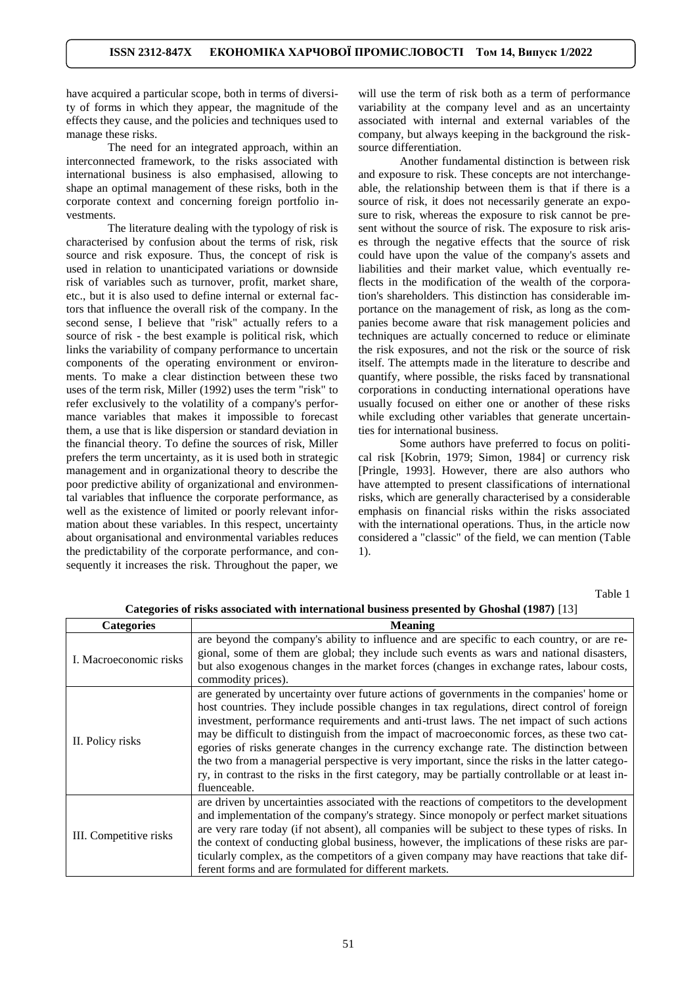have acquired a particular scope, both in terms of diversity of forms in which they appear, the magnitude of the effects they cause, and the policies and techniques used to manage these risks.

The need for an integrated approach, within an interconnected framework, to the risks associated with international business is also emphasised, allowing to shape an optimal management of these risks, both in the corporate context and concerning foreign portfolio investments.

The literature dealing with the typology of risk is characterised by confusion about the terms of risk, risk source and risk exposure. Thus, the concept of risk is used in relation to unanticipated variations or downside risk of variables such as turnover, profit, market share, etc., but it is also used to define internal or external factors that influence the overall risk of the company. In the second sense, I believe that "risk" actually refers to a source of risk - the best example is political risk, which links the variability of company performance to uncertain components of the operating environment or environments. To make a clear distinction between these two uses of the term risk, Miller (1992) uses the term "risk" to refer exclusively to the volatility of a company's performance variables that makes it impossible to forecast them, a use that is like dispersion or standard deviation in the financial theory. To define the sources of risk, Miller prefers the term uncertainty, as it is used both in strategic management and in organizational theory to describe the poor predictive ability of organizational and environmental variables that influence the corporate performance, as well as the existence of limited or poorly relevant information about these variables. In this respect, uncertainty about organisational and environmental variables reduces the predictability of the corporate performance, and consequently it increases the risk. Throughout the paper, we

will use the term of risk both as a term of performance variability at the company level and as an uncertainty associated with internal and external variables of the company, but always keeping in the background the risksource differentiation.

Another fundamental distinction is between risk and exposure to risk. These concepts are not interchangeable, the relationship between them is that if there is a source of risk, it does not necessarily generate an exposure to risk, whereas the exposure to risk cannot be present without the source of risk. The exposure to risk arises through the negative effects that the source of risk could have upon the value of the company's assets and liabilities and their market value, which eventually reflects in the modification of the wealth of the corporation's shareholders. This distinction has considerable importance on the management of risk, as long as the companies become aware that risk management policies and techniques are actually concerned to reduce or eliminate the risk exposures, and not the risk or the source of risk itself. The attempts made in the literature to describe and quantify, where possible, the risks faced by transnational corporations in conducting international operations have usually focused on either one or another of these risks while excluding other variables that generate uncertainties for international business.

Some authors have preferred to focus on political risk [Kobrin, 1979; Simon, 1984] or currency risk [Pringle, 1993]. However, there are also authors who have attempted to present classifications of international risks, which are generally characterised by a considerable emphasis on financial risks within the risks associated with the international operations. Thus, in the article now considered a "classic" of the field, we can mention (Table 1).

Table 1

| <b>Categories</b>      | <b>Meaning</b>                                                                                                                                                                                                                                                                                                                                                                                                                                                                                                                                                                                                                                                                                        |
|------------------------|-------------------------------------------------------------------------------------------------------------------------------------------------------------------------------------------------------------------------------------------------------------------------------------------------------------------------------------------------------------------------------------------------------------------------------------------------------------------------------------------------------------------------------------------------------------------------------------------------------------------------------------------------------------------------------------------------------|
| I. Macroeconomic risks | are beyond the company's ability to influence and are specific to each country, or are re-<br>gional, some of them are global; they include such events as wars and national disasters,<br>but also exogenous changes in the market forces (changes in exchange rates, labour costs,<br>commodity prices).                                                                                                                                                                                                                                                                                                                                                                                            |
| II. Policy risks       | are generated by uncertainty over future actions of governments in the companies' home or<br>host countries. They include possible changes in tax regulations, direct control of foreign<br>investment, performance requirements and anti-trust laws. The net impact of such actions<br>may be difficult to distinguish from the impact of macroeconomic forces, as these two cat-<br>egories of risks generate changes in the currency exchange rate. The distinction between<br>the two from a managerial perspective is very important, since the risks in the latter catego-<br>ry, in contrast to the risks in the first category, may be partially controllable or at least in-<br>fluenceable. |
| III. Competitive risks | are driven by uncertainties associated with the reactions of competitors to the development<br>and implementation of the company's strategy. Since monopoly or perfect market situations<br>are very rare today (if not absent), all companies will be subject to these types of risks. In<br>the context of conducting global business, however, the implications of these risks are par-<br>ticularly complex, as the competitors of a given company may have reactions that take dif-<br>ferent forms and are formulated for different markets.                                                                                                                                                    |

**Categories of risks associated with international business presented by Ghoshal (1987)** [13]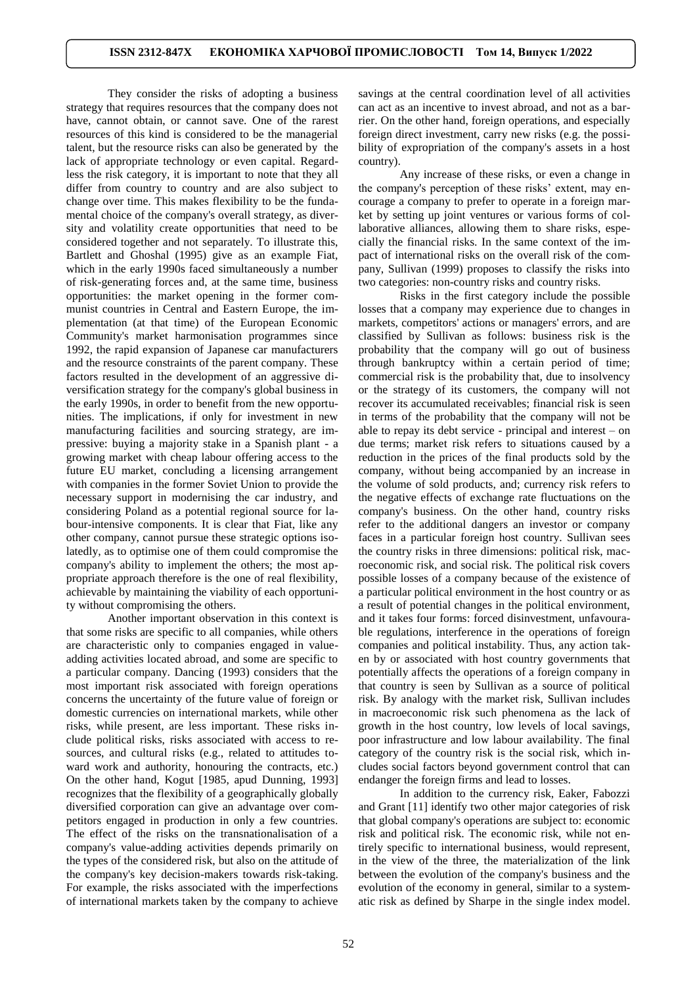They consider the risks of adopting a business strategy that requires resources that the company does not have, cannot obtain, or cannot save. One of the rarest resources of this kind is considered to be the managerial talent, but the resource risks can also be generated by the lack of appropriate technology or even capital. Regardless the risk category, it is important to note that they all differ from country to country and are also subject to change over time. This makes flexibility to be the fundamental choice of the company's overall strategy, as diversity and volatility create opportunities that need to be considered together and not separately. To illustrate this, Bartlett and Ghoshal (1995) give as an example Fiat, which in the early 1990s faced simultaneously a number of risk-generating forces and, at the same time, business opportunities: the market opening in the former communist countries in Central and Eastern Europe, the implementation (at that time) of the European Economic Community's market harmonisation programmes since 1992, the rapid expansion of Japanese car manufacturers and the resource constraints of the parent company. These factors resulted in the development of an aggressive diversification strategy for the company's global business in the early 1990s, in order to benefit from the new opportunities. The implications, if only for investment in new manufacturing facilities and sourcing strategy, are impressive: buying a majority stake in a Spanish plant - a growing market with cheap labour offering access to the future EU market, concluding a licensing arrangement with companies in the former Soviet Union to provide the necessary support in modernising the car industry, and considering Poland as a potential regional source for labour-intensive components. It is clear that Fiat, like any other company, cannot pursue these strategic options isolatedly, as to optimise one of them could compromise the company's ability to implement the others; the most appropriate approach therefore is the one of real flexibility, achievable by maintaining the viability of each opportunity without compromising the others.

Another important observation in this context is that some risks are specific to all companies, while others are characteristic only to companies engaged in valueadding activities located abroad, and some are specific to a particular company. Dancing (1993) considers that the most important risk associated with foreign operations concerns the uncertainty of the future value of foreign or domestic currencies on international markets, while other risks, while present, are less important. These risks include political risks, risks associated with access to resources, and cultural risks (e.g., related to attitudes toward work and authority, honouring the contracts, etc.) On the other hand, Kogut [1985, apud Dunning, 1993] recognizes that the flexibility of a geographically globally diversified corporation can give an advantage over competitors engaged in production in only a few countries. The effect of the risks on the transnationalisation of a company's value-adding activities depends primarily on the types of the considered risk, but also on the attitude of the company's key decision-makers towards risk-taking. For example, the risks associated with the imperfections of international markets taken by the company to achieve

savings at the central coordination level of all activities can act as an incentive to invest abroad, and not as a barrier. On the other hand, foreign operations, and especially foreign direct investment, carry new risks (e.g. the possibility of expropriation of the company's assets in a host country).

Any increase of these risks, or even a change in the company's perception of these risks' extent, may encourage a company to prefer to operate in a foreign market by setting up joint ventures or various forms of collaborative alliances, allowing them to share risks, especially the financial risks. In the same context of the impact of international risks on the overall risk of the company, Sullivan (1999) proposes to classify the risks into two categories: non-country risks and country risks.

Risks in the first category include the possible losses that a company may experience due to changes in markets, competitors' actions or managers' errors, and are classified by Sullivan as follows: business risk is the probability that the company will go out of business through bankruptcy within a certain period of time; commercial risk is the probability that, due to insolvency or the strategy of its customers, the company will not recover its accumulated receivables; financial risk is seen in terms of the probability that the company will not be able to repay its debt service - principal and interest – on due terms; market risk refers to situations caused by a reduction in the prices of the final products sold by the company, without being accompanied by an increase in the volume of sold products, and; currency risk refers to the negative effects of exchange rate fluctuations on the company's business. On the other hand, country risks refer to the additional dangers an investor or company faces in a particular foreign host country. Sullivan sees the country risks in three dimensions: political risk, macroeconomic risk, and social risk. The political risk covers possible losses of a company because of the existence of a particular political environment in the host country or as a result of potential changes in the political environment, and it takes four forms: forced disinvestment, unfavourable regulations, interference in the operations of foreign companies and political instability. Thus, any action taken by or associated with host country governments that potentially affects the operations of a foreign company in that country is seen by Sullivan as a source of political risk. By analogy with the market risk, Sullivan includes in macroeconomic risk such phenomena as the lack of growth in the host country, low levels of local savings, poor infrastructure and low labour availability. The final category of the country risk is the social risk, which includes social factors beyond government control that can endanger the foreign firms and lead to losses.

In addition to the currency risk, Eaker, Fabozzi and Grant [11] identify two other major categories of risk that global company's operations are subject to: economic risk and political risk. The economic risk, while not entirely specific to international business, would represent, in the view of the three, the materialization of the link between the evolution of the company's business and the evolution of the economy in general, similar to a systematic risk as defined by Sharpe in the single index model.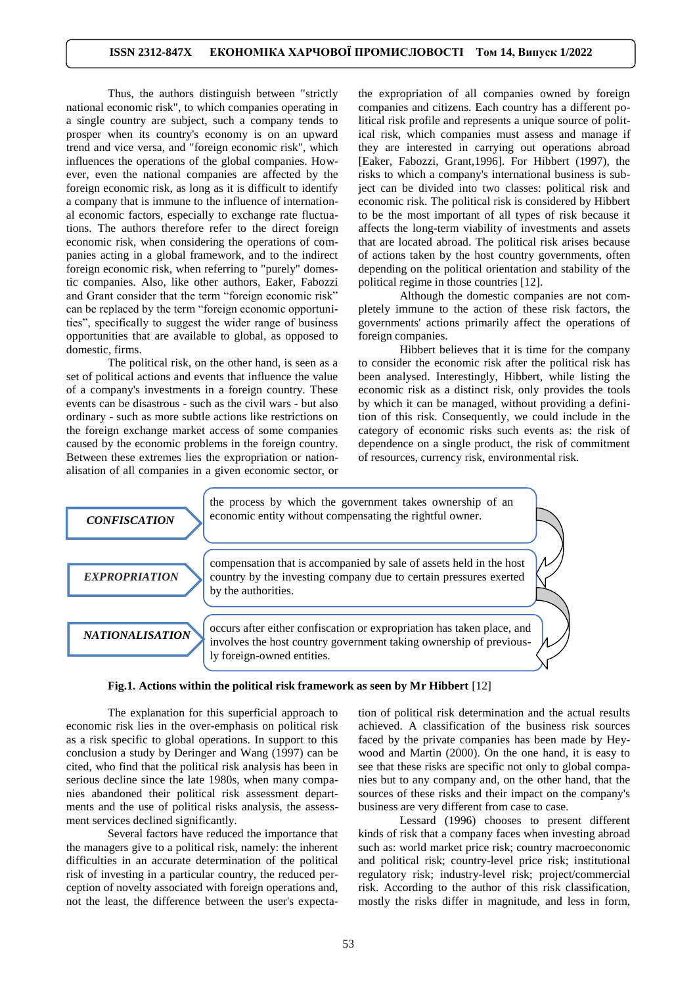Thus, the authors distinguish between "strictly national economic risk", to which companies operating in a single country are subject, such a company tends to prosper when its country's economy is on an upward trend and vice versa, and "foreign economic risk", which influences the operations of the global companies. However, even the national companies are affected by the foreign economic risk, as long as it is difficult to identify a company that is immune to the influence of international economic factors, especially to exchange rate fluctuations. The authors therefore refer to the direct foreign economic risk, when considering the operations of companies acting in a global framework, and to the indirect foreign economic risk, when referring to "purely" domestic companies. Also, like other authors, Eaker, Fabozzi and Grant consider that the term "foreign economic risk" can be replaced by the term "foreign economic opportunities", specifically to suggest the wider range of business opportunities that are available to global, as opposed to domestic, firms.

The political risk, on the other hand, is seen as a set of political actions and events that influence the value of a company's investments in a foreign country. These events can be disastrous - such as the civil wars - but also ordinary - such as more subtle actions like restrictions on the foreign exchange market access of some companies caused by the economic problems in the foreign country. Between these extremes lies the expropriation or nationalisation of all companies in a given economic sector, or

the expropriation of all companies owned by foreign companies and citizens. Each country has a different political risk profile and represents a unique source of political risk, which companies must assess and manage if they are interested in carrying out operations abroad [Eaker, Fabozzi, Grant,1996]. For Hibbert (1997), the risks to which a company's international business is subject can be divided into two classes: political risk and economic risk. The political risk is considered by Hibbert to be the most important of all types of risk because it affects the long-term viability of investments and assets that are located abroad. The political risk arises because of actions taken by the host country governments, often depending on the political orientation and stability of the political regime in those countries [12].

Although the domestic companies are not completely immune to the action of these risk factors, the governments' actions primarily affect the operations of foreign companies.

Hibbert believes that it is time for the company to consider the economic risk after the political risk has been analysed. Interestingly, Hibbert, while listing the economic risk as a distinct risk, only provides the tools by which it can be managed, without providing a definition of this risk. Consequently, we could include in the category of economic risks such events as: the risk of dependence on a single product, the risk of commitment of resources, currency risk, environmental risk.



The explanation for this superficial approach to economic risk lies in the over-emphasis on political risk as a risk specific to global operations. In support to this conclusion a study by Deringer and Wang (1997) can be cited, who find that the political risk analysis has been in serious decline since the late 1980s, when many companies abandoned their political risk assessment departments and the use of political risks analysis, the assessment services declined significantly.

Several factors have reduced the importance that the managers give to a political risk, namely: the inherent difficulties in an accurate determination of the political risk of investing in a particular country, the reduced perception of novelty associated with foreign operations and, not the least, the difference between the user's expectation of political risk determination and the actual results achieved. A classification of the business risk sources faced by the private companies has been made by Heywood and Martin (2000). On the one hand, it is easy to see that these risks are specific not only to global companies but to any company and, on the other hand, that the sources of these risks and their impact on the company's business are very different from case to case.

Lessard (1996) chooses to present different kinds of risk that a company faces when investing abroad such as: world market price risk; country macroeconomic and political risk; country-level price risk; institutional regulatory risk; industry-level risk; project/commercial risk. According to the author of this risk classification, mostly the risks differ in magnitude, and less in form,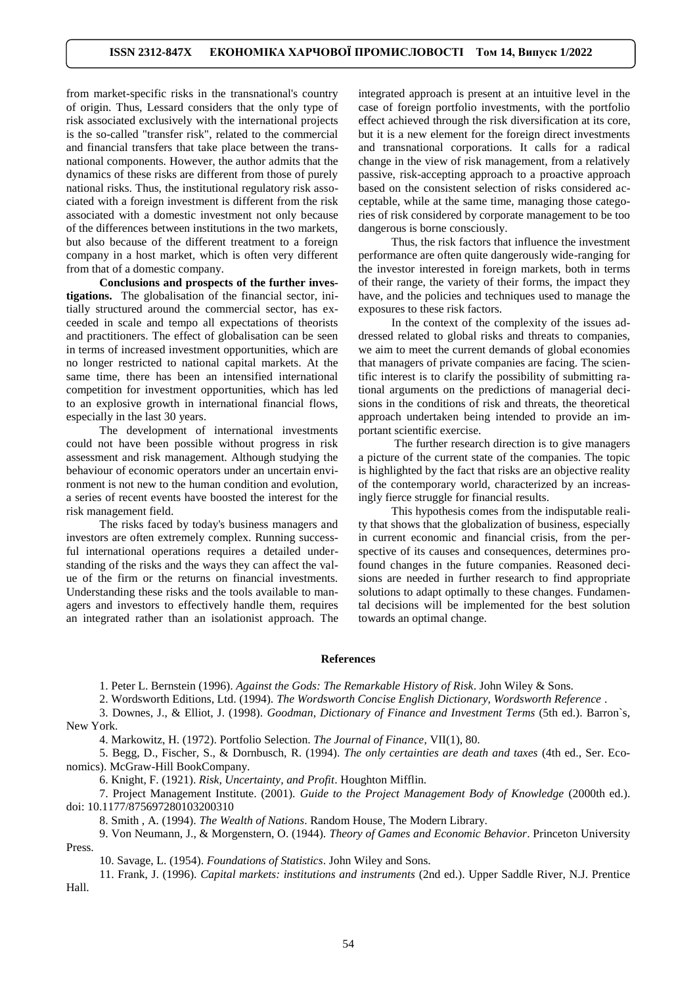from market-specific risks in the transnational's country of origin. Thus, Lessard considers that the only type of risk associated exclusively with the international projects is the so-called "transfer risk", related to the commercial and financial transfers that take place between the transnational components. However, the author admits that the dynamics of these risks are different from those of purely national risks. Thus, the institutional regulatory risk associated with a foreign investment is different from the risk associated with a domestic investment not only because of the differences between institutions in the two markets, but also because of the different treatment to a foreign company in a host market, which is often very different from that of a domestic company.

**Conclusions and prospects of the further investigations.** The globalisation of the financial sector, initially structured around the commercial sector, has exceeded in scale and tempo all expectations of theorists and practitioners. The effect of globalisation can be seen in terms of increased investment opportunities, which are no longer restricted to national capital markets. At the same time, there has been an intensified international competition for investment opportunities, which has led to an explosive growth in international financial flows, especially in the last 30 years.

The development of international investments could not have been possible without progress in risk assessment and risk management. Although studying the behaviour of economic operators under an uncertain environment is not new to the human condition and evolution, a series of recent events have boosted the interest for the risk management field.

The risks faced by today's business managers and investors are often extremely complex. Running successful international operations requires a detailed understanding of the risks and the ways they can affect the value of the firm or the returns on financial investments. Understanding these risks and the tools available to managers and investors to effectively handle them, requires an integrated rather than an isolationist approach. The integrated approach is present at an intuitive level in the case of foreign portfolio investments, with the portfolio effect achieved through the risk diversification at its core, but it is a new element for the foreign direct investments and transnational corporations. It calls for a radical change in the view of risk management, from a relatively passive, risk-accepting approach to a proactive approach based on the consistent selection of risks considered acceptable, while at the same time, managing those categories of risk considered by corporate management to be too dangerous is borne consciously.

Thus, the risk factors that influence the investment performance are often quite dangerously wide-ranging for the investor interested in foreign markets, both in terms of their range, the variety of their forms, the impact they have, and the policies and techniques used to manage the exposures to these risk factors.

In the context of the complexity of the issues addressed related to global risks and threats to companies, we aim to meet the current demands of global economies that managers of private companies are facing. The scientific interest is to clarify the possibility of submitting rational arguments on the predictions of managerial decisions in the conditions of risk and threats, the theoretical approach undertaken being intended to provide an important scientific exercise.

The further research direction is to give managers a picture of the current state of the companies. The topic is highlighted by the fact that risks are an objective reality of the contemporary world, characterized by an increasingly fierce struggle for financial results.

This hypothesis comes from the indisputable reality that shows that the globalization of business, especially in current economic and financial crisis, from the perspective of its causes and consequences, determines profound changes in the future companies. Reasoned decisions are needed in further research to find appropriate solutions to adapt optimally to these changes. Fundamental decisions will be implemented for the best solution towards an optimal change.

#### **References**

1. Peter L. Bernstein (1996). *Against the Gods: The Remarkable History of Risk*. John Wiley & Sons.

2. Wordsworth Editions, Ltd. (1994). *The Wordsworth Concise English Dictionary, Wordsworth Reference* .

3. Downes, J., & Elliot, J. (1998). *Goodman, Dictionary of Finance and Investment Terms* (5th ed.). Barron`s, New York.

4. Markowitz, H. (1972). Portfolio Selection. *The Journal of Finance*, VII(1), 80.

5. Begg, D., Fischer, S., & Dornbusch, R. (1994). *The only certainties are death and taxes* (4th ed., Ser. Economics). McGraw-Hill BookCompany.

6. Knight, F. (1921). *Risk, Uncertainty, and Profit*. Houghton Mifflin.

7. Project Management Institute. (2001). *Guide to the Project Management Body of Knowledge* (2000th ed.). [doi: 10.1177/875697280103200310](https://doi.org/10.1177/875697280103200310)

8. Smith , A. (1994). *The Wealth of Nations*. Random House, The Modern Library.

9. Von Neumann, J., & Morgenstern, O. (1944). *Theory of Games and Economic Behavior*. Princeton University Press.

10. Savage, L. (1954). *Foundations of Statistics*. John Wiley and Sons.

11. Frank, J. (1996). *Capital markets: institutions and instruments* (2nd ed.). Upper Saddle River, N.J. Prentice Hall.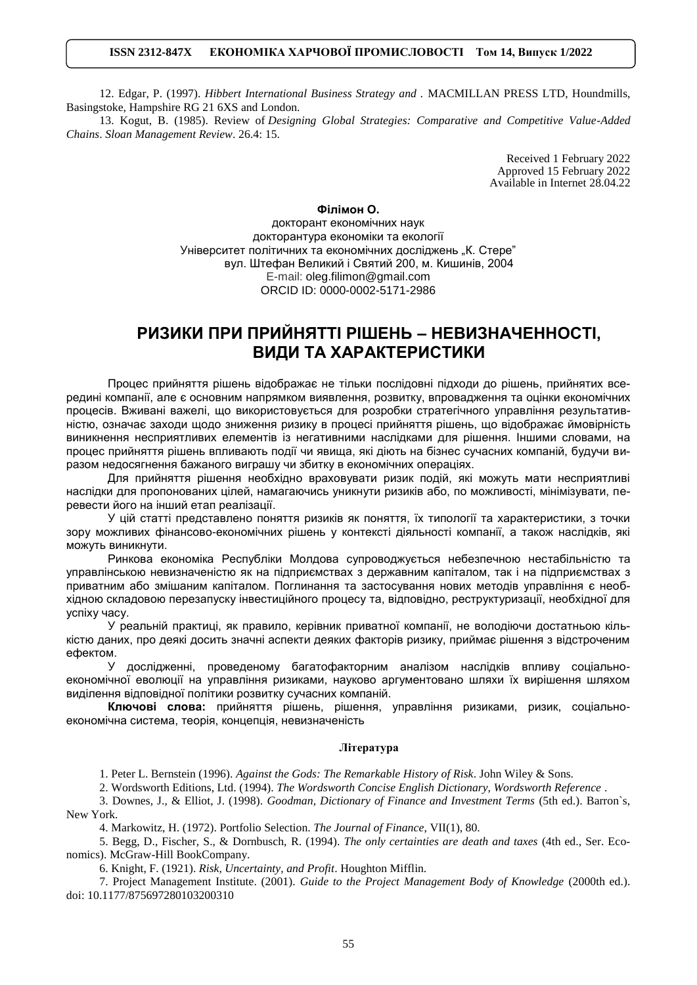# **ISSN 2312-847X ЕКОНОМІКА ХАРЧОВОЇ ПРОМИСЛОВОСТІ Том 14, Випуск 1/2022**

12. Edgar, P. (1997). *Hibbert International Business Strategy and .* MACMILLAN PRESS LTD, Houndmills, Basingstoke, Hampshire RG 21 6XS and London.

13. Kogut, B. (1985). Review of *Designing Global Strategies: Comparative and Competitive Value-Added Chains*. *Sloan Management Review*. 26.4: 15.

> Received 1 February 2022 Approved 15 February 2022 Available in Internet 28.04.22

## **Філімон О.**

докторaнт економічних наук докторантура економіки та екології Університет політичних та економічних досліджень "К. Стере" вул. Штефан Великий і Святий 200, м. Кишинів, 2004 E-mail: [oleg.filimon@gmail.com](mailto:oleg.filimon@gmail.com) ORCID ID: 0000-0002-5171-2986

# **РИЗИКИ ПРИ ПРИЙНЯТТІ РІШЕНЬ – НЕВИЗНАЧЕННОСТІ, ВИДИ ТА ХАРАКТЕРИСТИКИ**

Процес прийняття рішень відображає не тільки послідовні підходи до рішень, прийнятих всередині компанії, але є основним напрямком виявлення, розвитку, впровадження та оцінки економічних процесів. Вживані важелі, що використовується для розробки стратегічного управління результативністю, означає заходи щодо зниження ризику в процесі прийняття рішень, що відображає ймовірність виникнення несприятливих елементів із негативними наслідками для рішення. Іншими словами, на процес прийняття рішень впливають події чи явища, які діють на бізнес сучасних компаній, будучи виразом недосягнення бажаного виграшу чи збитку в економічних операціях.

Для прийняття рішення необхідно враховувати ризик подій, які можуть мати несприятливі наслідки для пропонованих цілей, намагаючись уникнути ризиків або, по можливості, мінімізувати, перевести його на інший етап реалізації.

У цій статті представлено поняття ризиків як поняття, їх типології та характеристики, з точки зору можливих фінансово-економічних рішень у контексті діяльності компанії, а також наслідків, які можуть виникнути.

Ринкова економіка Республіки Молдова супроводжується небезпечною нестабільністю та управлінською невизначеністю як на підприємствах з державним капіталом, так і на підприємствах з приватним або змішаним капіталом. Поглинання та застосування нових методів управління є необхідною складовою перезапуску інвестиційного процесу та, відповідно, реструктуризації, необхідної для успіху часу.

У реальній практиці, як правило, керівник приватної компанії, не володіючи достатньою кількістю даних, про деякі досить значні аспекти деяких факторів ризику, приймає рішення з відстроченим ефектом.

У дослідженні, проведеному багатофакторним аналізом наслідків впливу соціальноекономічної еволюції на управління ризиками, науково аргументовано шляхи їх вирішення шляхом виділення відповідної політики розвитку сучасних компаній.

**Ключові слова:** прийняття рішень, рішення, управління ризиками, ризик, соціальноекономічна система, теорія, концепція, невизначеність

### **Література**

1. Peter L. Bernstein (1996). *Against the Gods: The Remarkable History of Risk*. John Wiley & Sons.

2. Wordsworth Editions, Ltd. (1994). *The Wordsworth Concise English Dictionary, Wordsworth Reference* .

3. Downes, J., & Elliot, J. (1998). *Goodman, Dictionary of Finance and Investment Terms* (5th ed.). Barron`s, New York.

4. Markowitz, H. (1972). Portfolio Selection. *The Journal of Finance*, VII(1), 80.

5. Begg, D., Fischer, S., & Dornbusch, R. (1994). *The only certainties are death and taxes* (4th ed., Ser. Economics). McGraw-Hill BookCompany.

6. Knight, F. (1921). *Risk, Uncertainty, and Profit*. Houghton Mifflin.

7. Project Management Institute. (2001). *Guide to the Project Management Body of Knowledge* (2000th ed.). [doi: 10.1177/875697280103200310](https://doi.org/10.1177/875697280103200310)